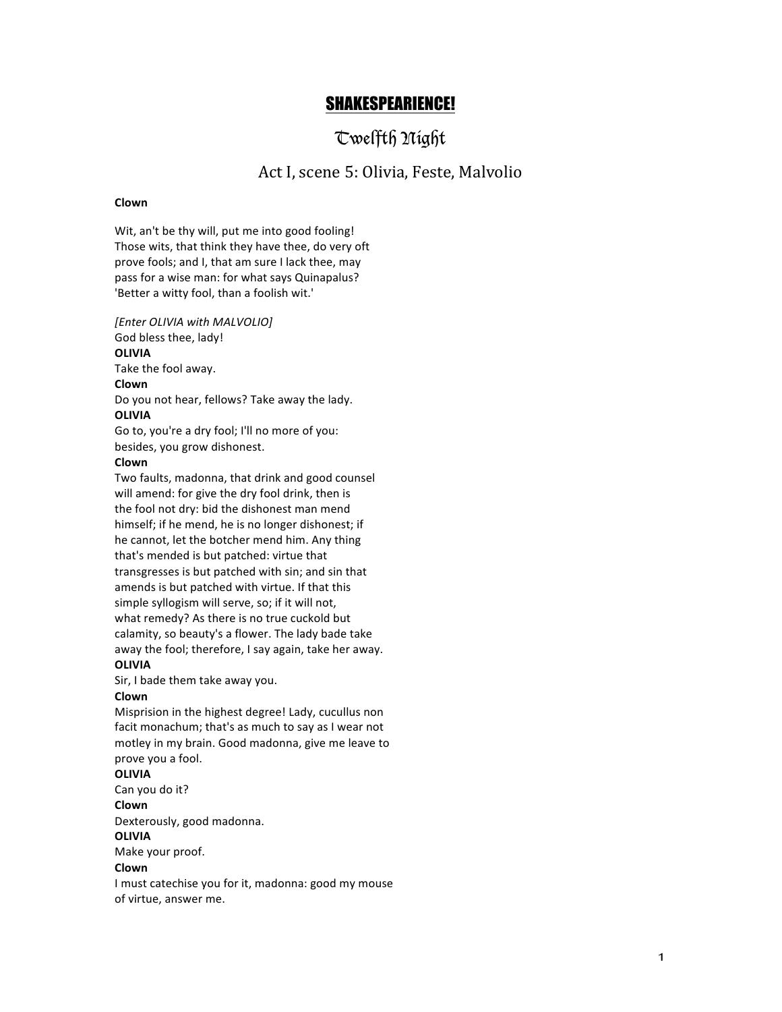# SHAKESPEARIENCE!

# Twelfth Night

# Act I, scene 5: Olivia, Feste, Malvolio

# **Clown**

Wit, an't be thy will, put me into good fooling! Those wits, that think they have thee, do very oft prove fools; and I, that am sure I lack thee, may pass for a wise man: for what says Quinapalus? 'Better a witty fool, than a foolish wit.'

*[Enter OLIVIA with MALVOLIO]* God bless thee, lady! **OLIVIA** Take the fool away. **Clown** Do you not hear, fellows? Take away the lady. **OLIVIA** Go to, you're a dry fool; I'll no more of you: besides, you grow dishonest.

## **Clown**

Two faults, madonna, that drink and good counsel will amend: for give the dry fool drink, then is the fool not dry: bid the dishonest man mend himself; if he mend, he is no longer dishonest; if he cannot, let the botcher mend him. Any thing that's mended is but patched: virtue that transgresses is but patched with sin; and sin that amends is but patched with virtue. If that this simple syllogism will serve, so; if it will not, what remedy? As there is no true cuckold but calamity, so beauty's a flower. The lady bade take away the fool; therefore, I say again, take her away. **OLIVIA**

Sir, I bade them take away you.

# **Clown**

Misprision in the highest degree! Lady, cucullus non facit monachum; that's as much to say as I wear not motley in my brain. Good madonna, give me leave to prove you a fool.

#### **OLIVIA**

Can vou do it?

**Clown**

Dexterously, good madonna.

#### **OLIVIA**

Make your proof.

#### **Clown**

I must catechise you for it, madonna: good my mouse of virtue, answer me.